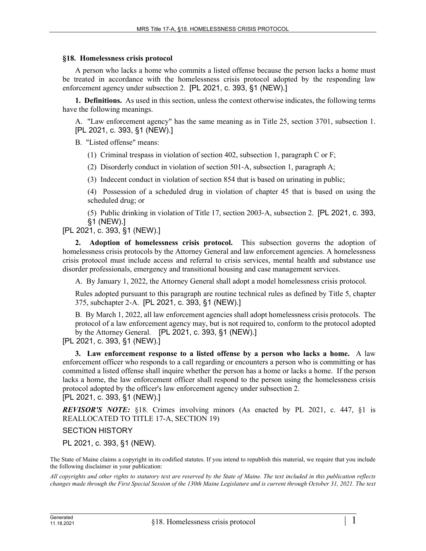## **§18. Homelessness crisis protocol**

A person who lacks a home who commits a listed offense because the person lacks a home must be treated in accordance with the homelessness crisis protocol adopted by the responding law enforcement agency under subsection 2. [PL 2021, c. 393, §1 (NEW).]

**1. Definitions.** As used in this section, unless the context otherwise indicates, the following terms have the following meanings.

A. "Law enforcement agency" has the same meaning as in Title 25, section 3701, subsection 1. [PL 2021, c. 393, §1 (NEW).]

B. "Listed offense" means:

(1) Criminal trespass in violation of section 402, subsection 1, paragraph C or F;

(2) Disorderly conduct in violation of section 501–A, subsection 1, paragraph A;

(3) Indecent conduct in violation of section 854 that is based on urinating in public;

(4) Possession of a scheduled drug in violation of chapter 45 that is based on using the scheduled drug; or

(5) Public drinking in violation of Title 17, section 2003‑A, subsection 2. [PL 2021, c. 393, §1 (NEW).]

[PL 2021, c. 393, §1 (NEW).]

**2. Adoption of homelessness crisis protocol.** This subsection governs the adoption of homelessness crisis protocols by the Attorney General and law enforcement agencies. A homelessness crisis protocol must include access and referral to crisis services, mental health and substance use disorder professionals, emergency and transitional housing and case management services.

A. By January 1, 2022, the Attorney General shall adopt a model homelessness crisis protocol.

Rules adopted pursuant to this paragraph are routine technical rules as defined by Title 5, chapter 375, subchapter 2‑A. [PL 2021, c. 393, §1 (NEW).]

B. By March 1, 2022, all law enforcement agencies shall adopt homelessness crisis protocols. The protocol of a law enforcement agency may, but is not required to, conform to the protocol adopted by the Attorney General. [PL 2021, c. 393, §1 (NEW).]

[PL 2021, c. 393, §1 (NEW).]

**3. Law enforcement response to a listed offense by a person who lacks a home.** A law enforcement officer who responds to a call regarding or encounters a person who is committing or has committed a listed offense shall inquire whether the person has a home or lacks a home. If the person lacks a home, the law enforcement officer shall respond to the person using the homelessness crisis protocol adopted by the officer's law enforcement agency under subsection 2. [PL 2021, c. 393, §1 (NEW).]

*REVISOR'S NOTE:* §18. Crimes involving minors (As enacted by PL 2021, c. 447, §1 is

REALLOCATED TO TITLE 17-A, SECTION 19)

SECTION HISTORY

PL 2021, c. 393, §1 (NEW).

The State of Maine claims a copyright in its codified statutes. If you intend to republish this material, we require that you include the following disclaimer in your publication:

*All copyrights and other rights to statutory text are reserved by the State of Maine. The text included in this publication reflects changes made through the First Special Session of the 130th Maine Legislature and is current through October 31, 2021. The text*